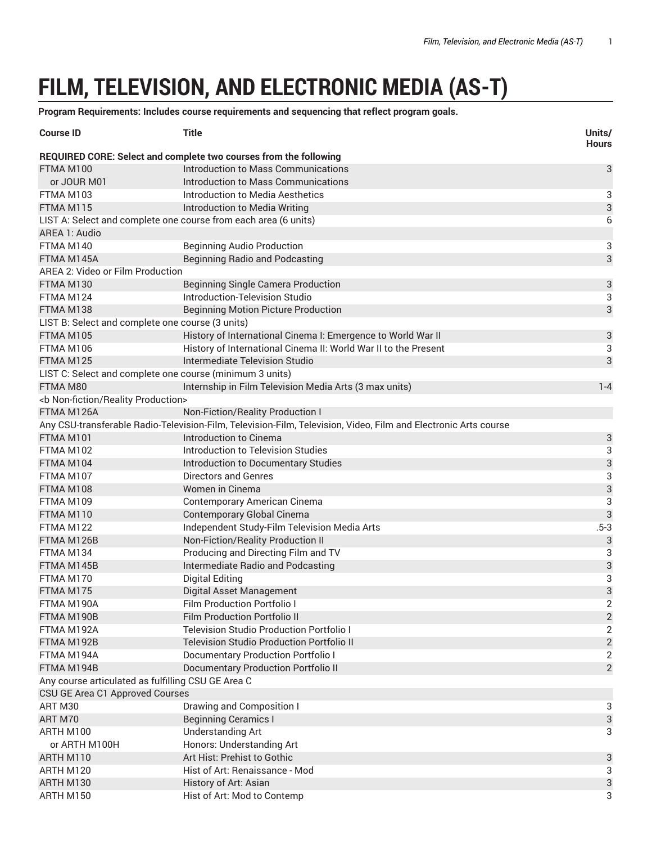## **FILM, TELEVISION, AND ELECTRONIC MEDIA (AS-T)**

**Program Requirements: Includes course requirements and sequencing that reflect program goals.**

| <b>Course ID</b>                                                | <b>Title</b>                                                                                                    | Units/<br><b>Hours</b>    |
|-----------------------------------------------------------------|-----------------------------------------------------------------------------------------------------------------|---------------------------|
|                                                                 | REQUIRED CORE: Select and complete two courses from the following                                               |                           |
| FTMA M100                                                       | Introduction to Mass Communications                                                                             | 3                         |
| or JOUR M01                                                     | Introduction to Mass Communications                                                                             |                           |
| FTMA M103                                                       | Introduction to Media Aesthetics                                                                                | 3                         |
| FTMA M115                                                       | Introduction to Media Writing                                                                                   | 3                         |
| LIST A: Select and complete one course from each area (6 units) |                                                                                                                 | $\boldsymbol{6}$          |
| AREA 1: Audio                                                   |                                                                                                                 |                           |
| FTMA M140                                                       | <b>Beginning Audio Production</b>                                                                               | 3                         |
| FTMA M145A                                                      | <b>Beginning Radio and Podcasting</b>                                                                           | 3                         |
| AREA 2: Video or Film Production                                |                                                                                                                 |                           |
| FTMA M130                                                       | <b>Beginning Single Camera Production</b>                                                                       | 3                         |
| FTMA M124                                                       | Introduction-Television Studio                                                                                  | 3                         |
| FTMA M138                                                       | <b>Beginning Motion Picture Production</b>                                                                      | 3                         |
| LIST B: Select and complete one course (3 units)                |                                                                                                                 |                           |
| FTMA M105                                                       | History of International Cinema I: Emergence to World War II                                                    | 3                         |
| FTMA M106                                                       | History of International Cinema II: World War II to the Present                                                 | 3                         |
| FTMA M125                                                       | Intermediate Television Studio                                                                                  | 3                         |
| LIST C: Select and complete one course (minimum 3 units)        |                                                                                                                 |                           |
| FTMA M80                                                        | Internship in Film Television Media Arts (3 max units)                                                          | $1 - 4$                   |
| <b non-fiction="" production="" reality=""></b>                 |                                                                                                                 |                           |
| FTMA M126A                                                      | Non-Fiction/Reality Production I                                                                                |                           |
|                                                                 | Any CSU-transferable Radio-Television-Film, Television-Film, Television, Video, Film and Electronic Arts course |                           |
| FTMA M101                                                       | Introduction to Cinema                                                                                          | 3                         |
| FTMA M102                                                       | <b>Introduction to Television Studies</b>                                                                       | 3                         |
| FTMA M104                                                       | Introduction to Documentary Studies                                                                             |                           |
| FTMA M107                                                       | <b>Directors and Genres</b>                                                                                     | $\frac{3}{3}$             |
| FTMA M108                                                       | Women in Cinema                                                                                                 | 3                         |
| FTMA M109                                                       | Contemporary American Cinema                                                                                    | 3                         |
| FTMA M110                                                       | <b>Contemporary Global Cinema</b>                                                                               | 3                         |
| FTMA M122                                                       | Independent Study-Film Television Media Arts                                                                    | $.5 - 3$                  |
| FTMA M126B                                                      | Non-Fiction/Reality Production II                                                                               | 3                         |
| FTMA M134                                                       | Producing and Directing Film and TV                                                                             | 3                         |
| FTMA M145B                                                      | Intermediate Radio and Podcasting                                                                               | 3                         |
| FTMA M170                                                       | <b>Digital Editing</b>                                                                                          | 3                         |
| FTMA M175                                                       | Digital Asset Management                                                                                        | 3                         |
| FTMA M190A                                                      | Film Production Portfolio I                                                                                     | 2                         |
| FTMA M190B                                                      | <b>Film Production Portfolio II</b>                                                                             | $\overline{\mathbf{c}}$   |
| FTMA M192A                                                      | <b>Television Studio Production Portfolio I</b>                                                                 | $\overline{2}$            |
| FTMA M192B                                                      | <b>Television Studio Production Portfolio II</b>                                                                | $\mathbf{2}$              |
| FTMA M194A                                                      | <b>Documentary Production Portfolio I</b>                                                                       | $\mathbf{2}$              |
| FTMA M194B                                                      | <b>Documentary Production Portfolio II</b>                                                                      | $\overline{2}$            |
| Any course articulated as fulfilling CSU GE Area C              |                                                                                                                 |                           |
| CSU GE Area C1 Approved Courses                                 |                                                                                                                 |                           |
| ART M30                                                         | Drawing and Composition I                                                                                       | 3                         |
| ART M70                                                         | <b>Beginning Ceramics I</b>                                                                                     | $\ensuremath{\mathsf{3}}$ |
| ARTH M100                                                       | <b>Understanding Art</b>                                                                                        | 3                         |
| or ARTH M100H                                                   | Honors: Understanding Art                                                                                       |                           |
| ARTH M110                                                       | Art Hist: Prehist to Gothic                                                                                     | 3                         |
| ARTH M120                                                       | Hist of Art: Renaissance - Mod                                                                                  | 3                         |
| ARTH M130                                                       | History of Art: Asian                                                                                           | 3                         |
| ARTH M150                                                       | Hist of Art: Mod to Contemp                                                                                     | 3                         |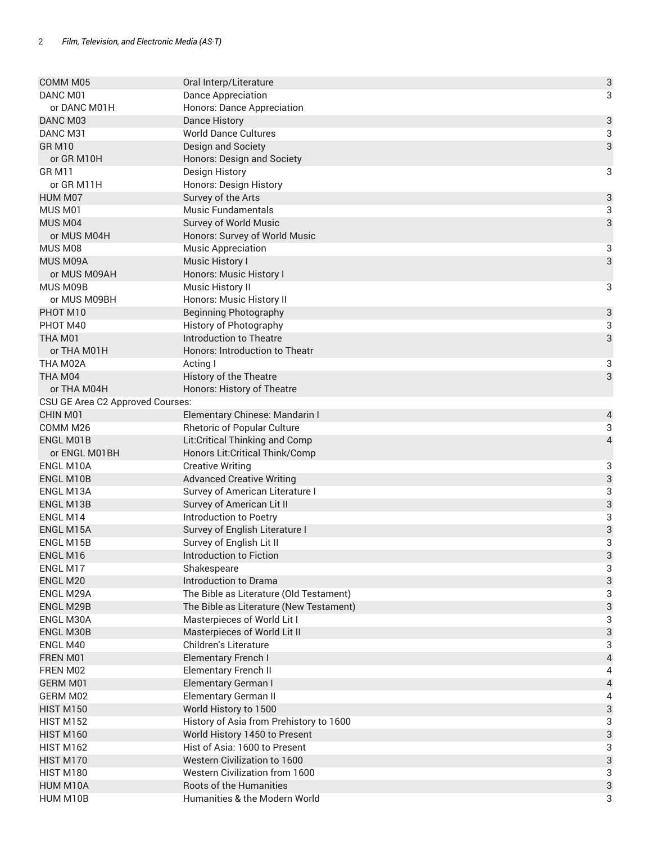| COMM <sub>M05</sub>              | Oral Interp/Literature                  | $\ensuremath{\mathsf{3}}$ |
|----------------------------------|-----------------------------------------|---------------------------|
| DANC M01                         | <b>Dance Appreciation</b>               | 3                         |
| or DANC M01H                     | <b>Honors: Dance Appreciation</b>       |                           |
| DANC M03                         | <b>Dance History</b>                    | $\sqrt{3}$                |
| DANC M31                         | <b>World Dance Cultures</b>             | 3                         |
| <b>GR M10</b>                    | Design and Society                      | 3                         |
| or GR M10H                       | Honors: Design and Society              |                           |
| <b>GRM11</b>                     | Design History                          | 3                         |
| or GR M11H                       | Honors: Design History                  |                           |
| HUM M07                          | Survey of the Arts                      | $\ensuremath{\mathsf{3}}$ |
| MUS <sub>M01</sub>               | <b>Music Fundamentals</b>               | 3                         |
| MUS M04                          | Survey of World Music                   | 3                         |
| or MUS M04H                      | Honors: Survey of World Music           |                           |
| MUS M08                          | <b>Music Appreciation</b>               | 3                         |
| MUS M09A                         | Music History I                         | 3                         |
| or MUS M09AH                     | Honors: Music History I                 |                           |
| MUS M09B                         | Music History II                        | 3                         |
| or MUS M09BH                     | Honors: Music History II                |                           |
| PHOT M10                         | <b>Beginning Photography</b>            | $\ensuremath{\mathsf{3}}$ |
| PHOT M40                         | History of Photography                  | 3                         |
| THA M01                          | <b>Introduction to Theatre</b>          | 3                         |
| or THA M01H                      | Honors: Introduction to Theatr          |                           |
| THA M02A                         | Acting I                                | 3                         |
| THA M04                          | History of the Theatre                  | 3                         |
| or THA M04H                      | Honors: History of Theatre              |                           |
| CSU GE Area C2 Approved Courses: |                                         |                           |
| CHIN M01                         | Elementary Chinese: Mandarin I          | $\overline{a}$            |
| COMM <sub>M26</sub>              | <b>Rhetoric of Popular Culture</b>      | 3                         |
| <b>ENGL M01B</b>                 | Lit:Critical Thinking and Comp          | $\overline{4}$            |
| or ENGL M01BH                    | Honors Lit: Critical Think/Comp         |                           |
| ENGL M10A                        | <b>Creative Writing</b>                 | 3                         |
| ENGL M10B                        | <b>Advanced Creative Writing</b>        | 3                         |
| ENGL M13A                        | Survey of American Literature I         | 3                         |
| <b>ENGL M13B</b>                 | Survey of American Lit II               | 3                         |
| ENGL M14                         | Introduction to Poetry                  | 3                         |
| ENGL M15A                        | Survey of English Literature I          | 3                         |
| ENGL M15B                        | Survey of English Lit II                | 3                         |
| ENGL M16                         | Introduction to Fiction                 | $\mathsf{3}$              |
| ENGL M17                         | Shakespeare                             | 3                         |
| ENGL M20                         | Introduction to Drama                   | $\ensuremath{\mathsf{3}}$ |
| ENGL M29A                        | The Bible as Literature (Old Testament) | 3                         |
| ENGL M29B                        | The Bible as Literature (New Testament) | $\ensuremath{\mathsf{3}}$ |
| ENGL M30A                        | Masterpieces of World Lit I             | 3                         |
| ENGL M30B                        | Masterpieces of World Lit II            | $\ensuremath{\mathsf{3}}$ |
| ENGL M40                         | Children's Literature                   | 3                         |
| FREN M01                         | Elementary French I                     | $\sqrt{4}$                |
| FREN M02                         | <b>Elementary French II</b>             | 4                         |
| GERM M01                         | <b>Elementary German I</b>              | $\sqrt{4}$                |
| GERM M02                         | <b>Elementary German II</b>             | 4                         |
| <b>HIST M150</b>                 | World History to 1500                   | $\ensuremath{\mathsf{3}}$ |
| <b>HIST M152</b>                 | History of Asia from Prehistory to 1600 | 3                         |
| <b>HIST M160</b>                 | World History 1450 to Present           | $\ensuremath{\mathsf{3}}$ |
| <b>HIST M162</b>                 | Hist of Asia: 1600 to Present           | 3                         |
| <b>HIST M170</b>                 | Western Civilization to 1600            | $\ensuremath{\mathsf{3}}$ |
| HIST M180                        | Western Civilization from 1600          | 3                         |
| HUM M10A                         | Roots of the Humanities                 | $\ensuremath{\mathsf{3}}$ |
| HUM M10B                         | Humanities & the Modern World           | 3                         |